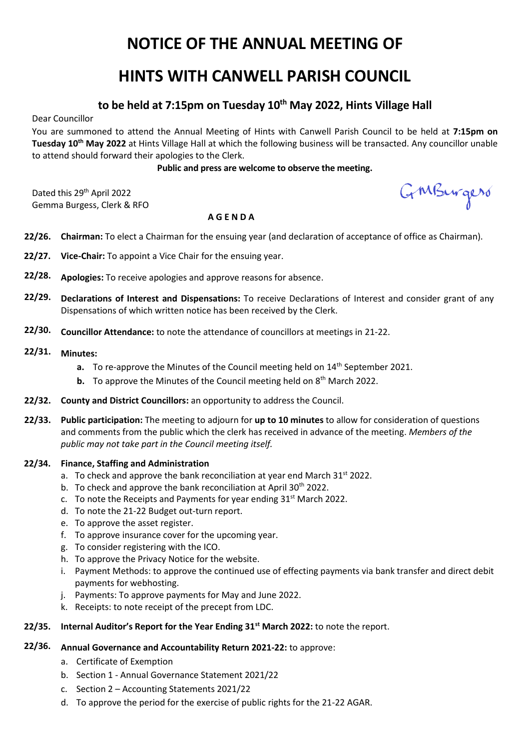# **NOTICE OF THE ANNUAL MEETING OF**

# **HINTS WITH CANWELL PARISH COUNCIL**

# **to be held at 7:15pm on Tuesday 10th May 2022, Hints Village Hall**

Dear Councillor

You are summoned to attend the Annual Meeting of Hints with Canwell Parish Council to be held at **7:15pm on Tuesday 10th May 2022** at Hints Village Hall at which the following business will be transacted. Any councillor unable to attend should forward their apologies to the Clerk.

# **Public and press are welcome to observe the meeting.**

Dated this 29<sup>th</sup> April 2022 Gemma Burgess, Clerk & RFO

GMBurgers

#### **A G E N D A**

- **22/26. Chairman:** To elect a Chairman for the ensuing year (and declaration of acceptance of office as Chairman).
- **22/27. Vice-Chair:** To appoint a Vice Chair for the ensuing year.
- **22/28. Apologies:** To receive apologies and approve reasons for absence.
- **22/29. Declarations of Interest and Dispensations:** To receive Declarations of Interest and consider grant of any Dispensations of which written notice has been received by the Clerk.
- **22/30. Councillor Attendance:** to note the attendance of councillors at meetings in 21-22.
- **22/31. Minutes:** 
	- **a.** To re-approve the Minutes of the Council meeting held on 14<sup>th</sup> September 2021.
	- **b.** To approve the Minutes of the Council meeting held on 8<sup>th</sup> March 2022.
- **22/32. County and District Councillors:** an opportunity to address the Council.
- **22/33. Public participation:** The meeting to adjourn for **up to 10 minutes** to allow for consideration of questions and comments from the public which the clerk has received in advance of the meeting. *Members of the public may not take part in the Council meeting itself.*

#### **22/34. Finance, Staffing and Administration**

- a. To check and approve the bank reconciliation at year end March 31<sup>st</sup> 2022.
- b. To check and approve the bank reconciliation at April 30<sup>th</sup> 2022.
- c. To note the Receipts and Payments for year ending  $31<sup>st</sup>$  March 2022.
- d. To note the 21-22 Budget out-turn report.
- e. To approve the asset register.
- f. To approve insurance cover for the upcoming year.
- g. To consider registering with the ICO.
- h. To approve the Privacy Notice for the website.
- i. Payment Methods: to approve the continued use of effecting payments via bank transfer and direct debit payments for webhosting.
- j. Payments: To approve payments for May and June 2022.
- k. Receipts: to note receipt of the precept from LDC.
- **22/35. Internal Auditor's Report for the Year Ending 31st March 2022:** to note the report.

# **22/36. Annual Governance and Accountability Return 2021-22:** to approve:

- a. Certificate of Exemption
- b. Section 1 Annual Governance Statement 2021/22
- c. Section 2 Accounting Statements 2021/22
- d. To approve the period for the exercise of public rights for the 21-22 AGAR.